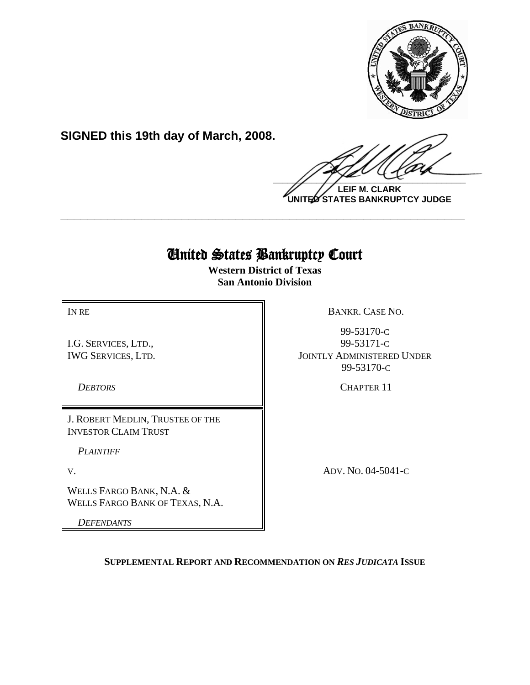

**SIGNED this 19th day of March, 2008.**

 $\frac{1}{2}$ 

**LEIF M. CLARK UNITED STATES BANKRUPTCY JUDGE**

# United States Bankruptcy Court

**\_\_\_\_\_\_\_\_\_\_\_\_\_\_\_\_\_\_\_\_\_\_\_\_\_\_\_\_\_\_\_\_\_\_\_\_\_\_\_\_\_\_\_\_\_\_\_\_\_\_\_\_\_\_\_\_\_\_\_\_**

**Western District of Texas San Antonio Division**

I.G. SERVICES, LTD., IWG SERVICES, LTD.

J. ROBERT MEDLIN, TRUSTEE OF THE INVESTOR CLAIM TRUST

*PLAINTIFF* 

WELLS FARGO BANK, N.A. & WELLS FARGO BANK OF TEXAS, N.A.

*DEFENDANTS*

IN RE BANKR. CASE NO.

99-53170-C 99-53171-C JOINTLY ADMINISTERED UNDER 99-53170-C

**DEBTORS** CHAPTER 11

V. ADV. NO. 04-5041-C

**SUPPLEMENTAL REPORT AND RECOMMENDATION ON** *RES JUDICATA* **ISSUE**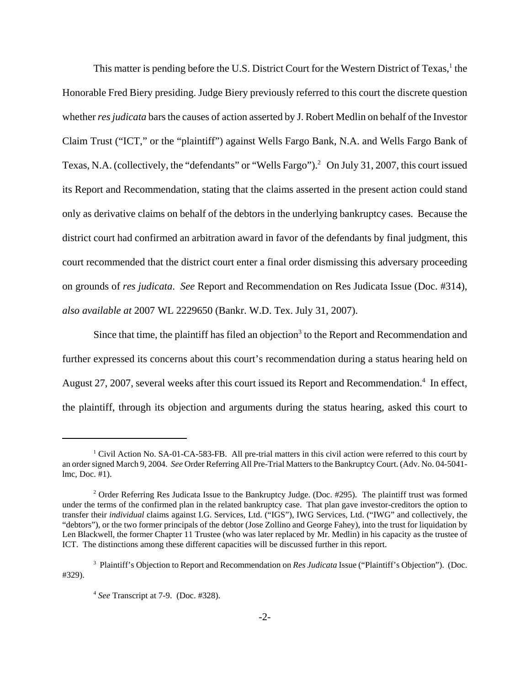This matter is pending before the U.S. District Court for the Western District of Texas,<sup>1</sup> the Honorable Fred Biery presiding. Judge Biery previously referred to this court the discrete question whether *res judicata* bars the causes of action asserted by J. Robert Medlin on behalf of the Investor Claim Trust ("ICT," or the "plaintiff") against Wells Fargo Bank, N.A. and Wells Fargo Bank of Texas, N.A. (collectively, the "defendants" or "Wells Fargo").2 On July 31, 2007, this court issued its Report and Recommendation, stating that the claims asserted in the present action could stand only as derivative claims on behalf of the debtors in the underlying bankruptcy cases. Because the district court had confirmed an arbitration award in favor of the defendants by final judgment, this court recommended that the district court enter a final order dismissing this adversary proceeding on grounds of *res judicata*. *See* Report and Recommendation on Res Judicata Issue (Doc. #314), *also available at* 2007 WL 2229650 (Bankr. W.D. Tex. July 31, 2007).

Since that time, the plaintiff has filed an objection<sup>3</sup> to the Report and Recommendation and further expressed its concerns about this court's recommendation during a status hearing held on August 27, 2007, several weeks after this court issued its Report and Recommendation.<sup>4</sup> In effect, the plaintiff, through its objection and arguments during the status hearing, asked this court to

<sup>&</sup>lt;sup>1</sup> Civil Action No. SA-01-CA-583-FB. All pre-trial matters in this civil action were referred to this court by an order signed March 9, 2004. *See* Order Referring All Pre-Trial Matters to the Bankruptcy Court. (Adv. No. 04-5041 lmc, Doc. #1).

<sup>&</sup>lt;sup>2</sup> Order Referring Res Judicata Issue to the Bankruptcy Judge. (Doc. #295). The plaintiff trust was formed under the terms of the confirmed plan in the related bankruptcy case. That plan gave investor-creditors the option to transfer their *individual* claims against I.G. Services, Ltd. ("IGS"), IWG Services, Ltd. ("IWG" and collectively, the "debtors"), or the two former principals of the debtor (Jose Zollino and George Fahey), into the trust for liquidation by Len Blackwell, the former Chapter 11 Trustee (who was later replaced by Mr. Medlin) in his capacity as the trustee of ICT. The distinctions among these different capacities will be discussed further in this report.

<sup>3</sup> Plaintiff's Objection to Report and Recommendation on *Res Judicata* Issue ("Plaintiff's Objection"). (Doc. #329).

<sup>4</sup> *See* Transcript at 7-9. (Doc. #328).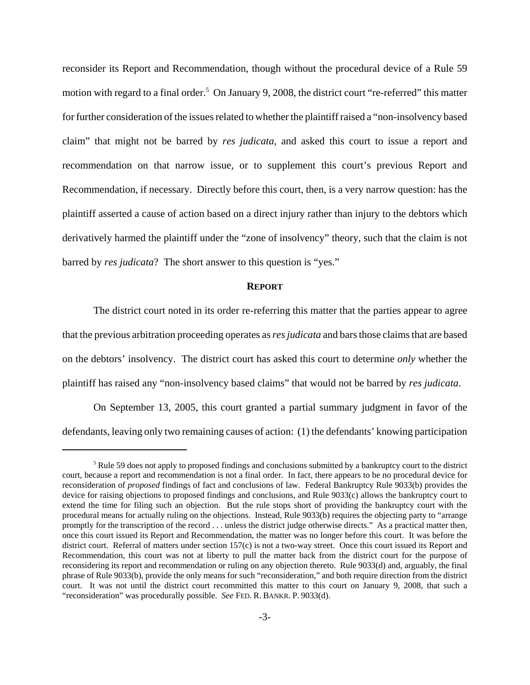reconsider its Report and Recommendation, though without the procedural device of a Rule 59 motion with regard to a final order.<sup>5</sup> On January 9, 2008, the district court "re-referred" this matter for further consideration of the issues related to whether the plaintiff raised a "non-insolvency based claim" that might not be barred by *res judicata*, and asked this court to issue a report and recommendation on that narrow issue, or to supplement this court's previous Report and Recommendation, if necessary. Directly before this court, then, is a very narrow question: has the plaintiff asserted a cause of action based on a direct injury rather than injury to the debtors which derivatively harmed the plaintiff under the "zone of insolvency" theory, such that the claim is not barred by *res judicata*? The short answer to this question is "yes."

# **REPORT**

The district court noted in its order re-referring this matter that the parties appear to agree that the previous arbitration proceeding operates as *res judicata* and bars those claims that are based on the debtors' insolvency. The district court has asked this court to determine *only* whether the plaintiff has raised any "non-insolvency based claims" that would not be barred by *res judicata*.

On September 13, 2005, this court granted a partial summary judgment in favor of the defendants, leaving only two remaining causes of action: (1) the defendants' knowing participation

<sup>&</sup>lt;sup>5</sup> Rule 59 does not apply to proposed findings and conclusions submitted by a bankruptcy court to the district court, because a report and recommendation is not a final order. In fact, there appears to be no procedural device for reconsideration of *proposed* findings of fact and conclusions of law. Federal Bankruptcy Rule 9033(b) provides the device for raising objections to proposed findings and conclusions, and Rule 9033(c) allows the bankruptcy court to extend the time for filing such an objection. But the rule stops short of providing the bankruptcy court with the procedural means for actually ruling on the objections. Instead, Rule 9033(b) requires the objecting party to "arrange promptly for the transcription of the record . . . unless the district judge otherwise directs." As a practical matter then, once this court issued its Report and Recommendation, the matter was no longer before this court. It was before the district court. Referral of matters under section 157(c) is not a two-way street. Once this court issued its Report and Recommendation, this court was not at liberty to pull the matter back from the district court for the purpose of reconsidering its report and recommendation or ruling on any objection thereto. Rule 9033(d) and, arguably, the final phrase of Rule 9033(b), provide the only means for such "reconsideration," and both require direction from the district court. It was not until the district court recommitted this matter to this court on January 9, 2008, that such a "reconsideration" was procedurally possible. *See* FED. R. BANKR. P. 9033(d).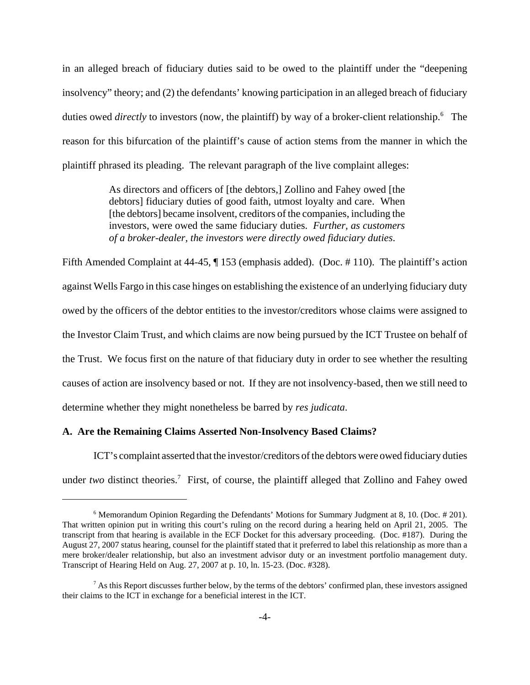in an alleged breach of fiduciary duties said to be owed to the plaintiff under the "deepening insolvency" theory; and (2) the defendants' knowing participation in an alleged breach of fiduciary duties owed *directly* to investors (now, the plaintiff) by way of a broker-client relationship.<sup>6</sup> The reason for this bifurcation of the plaintiff's cause of action stems from the manner in which the plaintiff phrased its pleading. The relevant paragraph of the live complaint alleges:

> As directors and officers of [the debtors,] Zollino and Fahey owed [the debtors] fiduciary duties of good faith, utmost loyalty and care. When [the debtors] became insolvent, creditors of the companies, including the investors, were owed the same fiduciary duties. *Further, as customers of a broker-dealer, the investors were directly owed fiduciary duties*.

Fifth Amended Complaint at 44-45, ¶ 153 (emphasis added). (Doc. # 110). The plaintiff's action against Wells Fargo in this case hinges on establishing the existence of an underlying fiduciary duty owed by the officers of the debtor entities to the investor/creditors whose claims were assigned to the Investor Claim Trust, and which claims are now being pursued by the ICT Trustee on behalf of the Trust. We focus first on the nature of that fiduciary duty in order to see whether the resulting causes of action are insolvency based or not. If they are not insolvency-based, then we still need to determine whether they might nonetheless be barred by *res judicata*.

## **A. Are the Remaining Claims Asserted Non-Insolvency Based Claims?**

ICT's complaint asserted that the investor/creditors of the debtors were owed fiduciary duties under two distinct theories.<sup>7</sup> First, of course, the plaintiff alleged that Zollino and Fahey owed

<sup>&</sup>lt;sup>6</sup> Memorandum Opinion Regarding the Defendants' Motions for Summary Judgment at 8, 10. (Doc. #201). That written opinion put in writing this court's ruling on the record during a hearing held on April 21, 2005. The transcript from that hearing is available in the ECF Docket for this adversary proceeding. (Doc. #187). During the August 27, 2007 status hearing, counsel for the plaintiff stated that it preferred to label this relationship as more than a mere broker/dealer relationship, but also an investment advisor duty or an investment portfolio management duty. Transcript of Hearing Held on Aug. 27, 2007 at p. 10, ln. 15-23. (Doc. #328).

 $^7$  As this Report discusses further below, by the terms of the debtors' confirmed plan, these investors assigned their claims to the ICT in exchange for a beneficial interest in the ICT.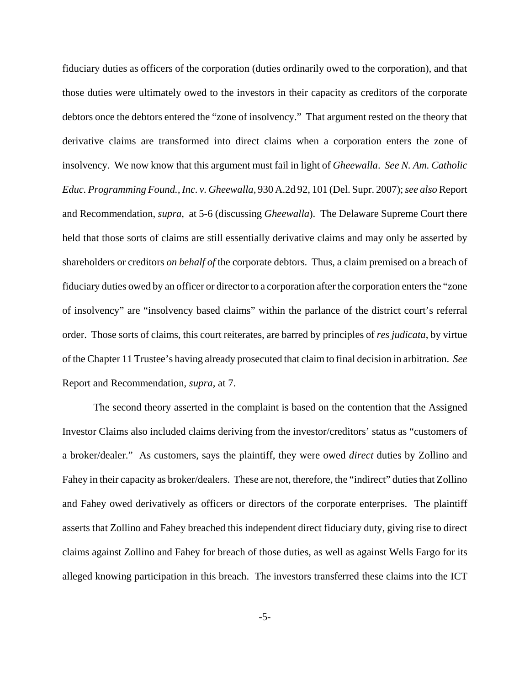fiduciary duties as officers of the corporation (duties ordinarily owed to the corporation), and that those duties were ultimately owed to the investors in their capacity as creditors of the corporate debtors once the debtors entered the "zone of insolvency." That argument rested on the theory that derivative claims are transformed into direct claims when a corporation enters the zone of insolvency. We now know that this argument must fail in light of *Gheewalla*. *See N. Am. Catholic Educ. Programming Found., Inc. v. Gheewalla,* 930 A.2d 92, 101 (Del. Supr. 2007); *see also* Report and Recommendation, *supra*, at 5-6 (discussing *Gheewalla*). The Delaware Supreme Court there held that those sorts of claims are still essentially derivative claims and may only be asserted by shareholders or creditors *on behalf of* the corporate debtors. Thus, a claim premised on a breach of fiduciary duties owed by an officer or director to a corporation after the corporation enters the "zone of insolvency" are "insolvency based claims" within the parlance of the district court's referral order. Those sorts of claims, this court reiterates, are barred by principles of *res judicata*, by virtue of the Chapter 11 Trustee's having already prosecuted that claim to final decision in arbitration. *See* Report and Recommendation, *supra*, at 7.

The second theory asserted in the complaint is based on the contention that the Assigned Investor Claims also included claims deriving from the investor/creditors' status as "customers of a broker/dealer." As customers, says the plaintiff, they were owed *direct* duties by Zollino and Fahey in their capacity as broker/dealers. These are not, therefore, the "indirect" duties that Zollino and Fahey owed derivatively as officers or directors of the corporate enterprises. The plaintiff asserts that Zollino and Fahey breached this independent direct fiduciary duty, giving rise to direct claims against Zollino and Fahey for breach of those duties, as well as against Wells Fargo for its alleged knowing participation in this breach. The investors transferred these claims into the ICT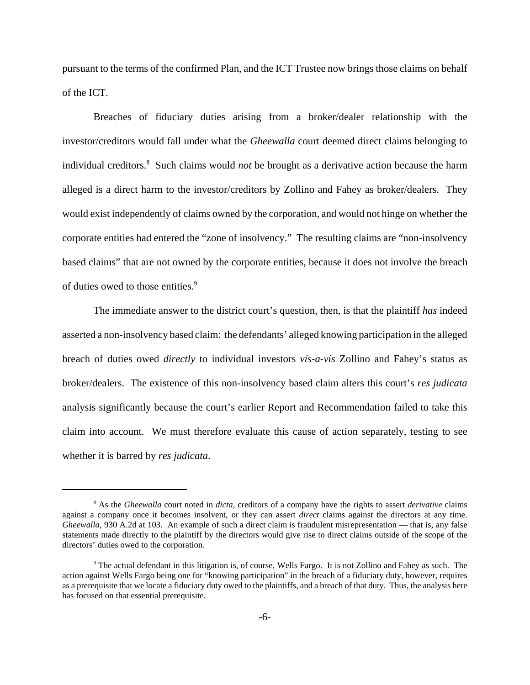pursuant to the terms of the confirmed Plan, and the ICT Trustee now brings those claims on behalf of the ICT.

Breaches of fiduciary duties arising from a broker/dealer relationship with the investor/creditors would fall under what the *Gheewalla* court deemed direct claims belonging to individual creditors.8 Such claims would *not* be brought as a derivative action because the harm alleged is a direct harm to the investor/creditors by Zollino and Fahey as broker/dealers. They would exist independently of claims owned by the corporation, and would not hinge on whether the corporate entities had entered the "zone of insolvency." The resulting claims are "non-insolvency based claims" that are not owned by the corporate entities, because it does not involve the breach of duties owed to those entities.<sup>9</sup>

The immediate answer to the district court's question, then, is that the plaintiff *has* indeed asserted a non-insolvency based claim: the defendants' alleged knowing participation in the alleged breach of duties owed *directly* to individual investors *vís-a-vís* Zollino and Fahey's status as broker/dealers. The existence of this non-insolvency based claim alters this court's *res judicata* analysis significantly because the court's earlier Report and Recommendation failed to take this claim into account. We must therefore evaluate this cause of action separately, testing to see whether it is barred by *res judicata*.

<sup>8</sup> As the *Gheewalla* court noted in *dicta*, creditors of a company have the rights to assert *derivative* claims against a company once it becomes insolvent, or they can assert *direct* claims against the directors at any time. *Gheewalla*, 930 A.2d at 103. An example of such a direct claim is fraudulent misrepresentation — that is, any false statements made directly to the plaintiff by the directors would give rise to direct claims outside of the scope of the directors' duties owed to the corporation.

<sup>&</sup>lt;sup>9</sup> The actual defendant in this litigation is, of course, Wells Fargo. It is not Zollino and Fahey as such. The action against Wells Fargo being one for "knowing participation" in the breach of a fiduciary duty, however, requires as a prerequisite that we locate a fiduciary duty owed to the plaintiffs, and a breach of that duty. Thus, the analysis here has focused on that essential prerequisite.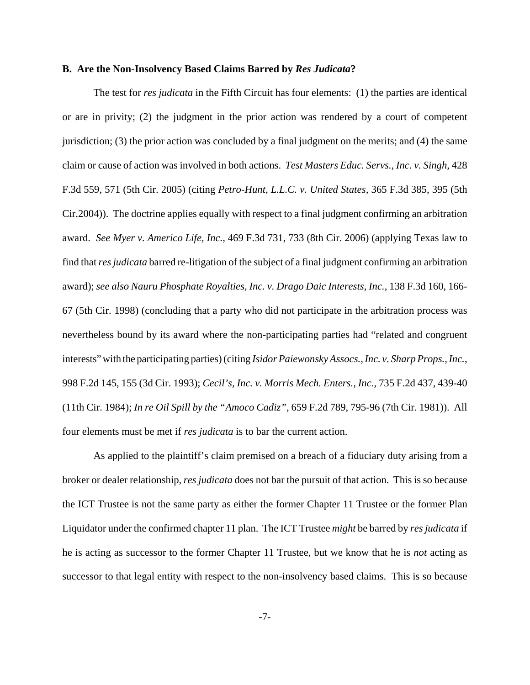#### **B. Are the Non-Insolvency Based Claims Barred by** *Res Judicata***?**

The test for *res judicata* in the Fifth Circuit has four elements: (1) the parties are identical or are in privity; (2) the judgment in the prior action was rendered by a court of competent jurisdiction; (3) the prior action was concluded by a final judgment on the merits; and (4) the same claim or cause of action was involved in both actions. *Test Masters Educ. Servs., Inc. v. Singh,* 428 F.3d 559, 571 (5th Cir. 2005) (citing *Petro-Hunt, L.L.C. v. United States,* 365 F.3d 385, 395 (5th Cir.2004)). The doctrine applies equally with respect to a final judgment confirming an arbitration award. *See Myer v. Americo Life, Inc.,* 469 F.3d 731, 733 (8th Cir. 2006) (applying Texas law to find that *res judicata* barred re-litigation of the subject of a final judgment confirming an arbitration award); *see also Nauru Phosphate Royalties, Inc. v. Drago Daic Interests, Inc.,* 138 F.3d 160, 166- 67 (5th Cir. 1998) (concluding that a party who did not participate in the arbitration process was nevertheless bound by its award where the non-participating parties had "related and congruent interests" with the participating parties) (citing *Isidor Paiewonsky Assocs., Inc. v. Sharp Props., Inc.*, 998 F.2d 145, 155 (3d Cir. 1993); *Cecil's, Inc. v. Morris Mech. Enters., Inc.,* 735 F.2d 437, 439-40 (11th Cir. 1984); *In re Oil Spill by the "Amoco Cadiz",* 659 F.2d 789, 795-96 (7th Cir. 1981)). All four elements must be met if *res judicata* is to bar the current action.

As applied to the plaintiff's claim premised on a breach of a fiduciary duty arising from a broker or dealer relationship, *res judicata* does not bar the pursuit of that action. This is so because the ICT Trustee is not the same party as either the former Chapter 11 Trustee or the former Plan Liquidator under the confirmed chapter 11 plan. The ICT Trustee *might* be barred by *res judicata* if he is acting as successor to the former Chapter 11 Trustee, but we know that he is *not* acting as successor to that legal entity with respect to the non-insolvency based claims. This is so because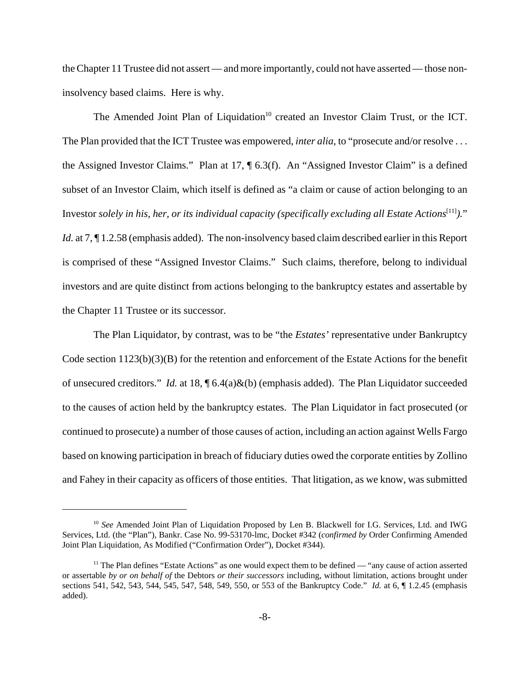the Chapter 11 Trustee did not assert — and more importantly, could not have asserted — those noninsolvency based claims. Here is why.

The Amended Joint Plan of Liquidation<sup>10</sup> created an Investor Claim Trust, or the ICT. The Plan provided that the ICT Trustee was empowered, *inter alia*, to "prosecute and/or resolve . . . the Assigned Investor Claims." Plan at 17, ¶ 6.3(f). An "Assigned Investor Claim" is a defined subset of an Investor Claim, which itself is defined as "a claim or cause of action belonging to an Investor *solely in his, her, or its individual capacity (specifically excluding all Estate Actions*[11]*).*" *Id.* at 7,  $\P$  1.2.58 (emphasis added). The non-insolvency based claim described earlier in this Report is comprised of these "Assigned Investor Claims." Such claims, therefore, belong to individual investors and are quite distinct from actions belonging to the bankruptcy estates and assertable by the Chapter 11 Trustee or its successor.

The Plan Liquidator, by contrast, was to be "the *Estates'* representative under Bankruptcy Code section  $1123(b)(3)(B)$  for the retention and enforcement of the Estate Actions for the benefit of unsecured creditors." *Id.* at 18, ¶ 6.4(a)&(b) (emphasis added). The Plan Liquidator succeeded to the causes of action held by the bankruptcy estates. The Plan Liquidator in fact prosecuted (or continued to prosecute) a number of those causes of action, including an action against Wells Fargo based on knowing participation in breach of fiduciary duties owed the corporate entities by Zollino and Fahey in their capacity as officers of those entities. That litigation, as we know, was submitted

<sup>10</sup> *See* Amended Joint Plan of Liquidation Proposed by Len B. Blackwell for I.G. Services, Ltd. and IWG Services, Ltd. (the "Plan"), Bankr. Case No. 99-53170-lmc, Docket #342 (*confirmed by* Order Confirming Amended Joint Plan Liquidation, As Modified ("Confirmation Order"), Docket #344).

 $11$  The Plan defines "Estate Actions" as one would expect them to be defined — "any cause of action asserted" or assertable *by or on behalf of* the Debtors *or their successors* including, without limitation, actions brought under sections 541, 542, 543, 544, 545, 547, 548, 549, 550, or 553 of the Bankruptcy Code." *Id.* at 6, ¶ 1.2.45 (emphasis added).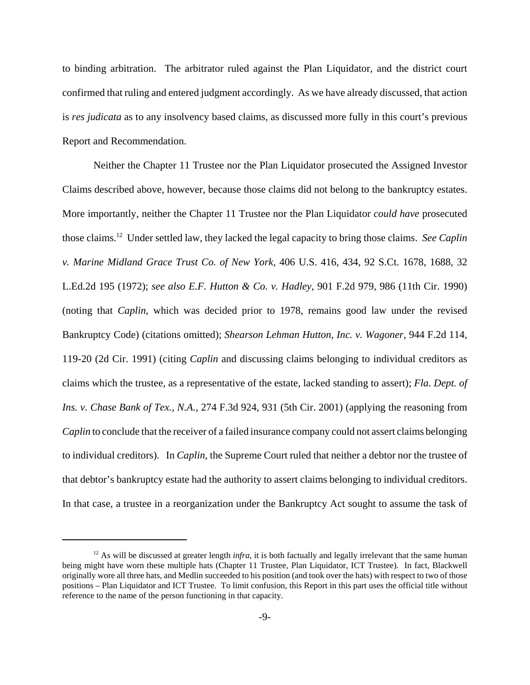to binding arbitration. The arbitrator ruled against the Plan Liquidator, and the district court confirmed that ruling and entered judgment accordingly. As we have already discussed, that action is *res judicata* as to any insolvency based claims, as discussed more fully in this court's previous Report and Recommendation.

Neither the Chapter 11 Trustee nor the Plan Liquidator prosecuted the Assigned Investor Claims described above, however, because those claims did not belong to the bankruptcy estates. More importantly, neither the Chapter 11 Trustee nor the Plan Liquidator *could have* prosecuted those claims.12 Under settled law, they lacked the legal capacity to bring those claims. *See Caplin v. Marine Midland Grace Trust Co. of New York,* 406 U.S. 416, 434, 92 S.Ct. 1678, 1688, 32 L.Ed.2d 195 (1972); *see also E.F. Hutton & Co. v. Hadley,* 901 F.2d 979, 986 (11th Cir. 1990) (noting that *Caplin*, which was decided prior to 1978, remains good law under the revised Bankruptcy Code) (citations omitted); *Shearson Lehman Hutton, Inc. v. Wagoner,* 944 F.2d 114, 119-20 (2d Cir. 1991) (citing *Caplin* and discussing claims belonging to individual creditors as claims which the trustee, as a representative of the estate, lacked standing to assert); *Fla. Dept. of Ins. v. Chase Bank of Tex., N.A.,* 274 F.3d 924, 931 (5th Cir. 2001) (applying the reasoning from *Caplin* to conclude that the receiver of a failed insurance company could not assert claims belonging to individual creditors). In *Caplin*, the Supreme Court ruled that neither a debtor nor the trustee of that debtor's bankruptcy estate had the authority to assert claims belonging to individual creditors. In that case, a trustee in a reorganization under the Bankruptcy Act sought to assume the task of

<sup>&</sup>lt;sup>12</sup> As will be discussed at greater length *infra*, it is both factually and legally irrelevant that the same human being might have worn these multiple hats (Chapter 11 Trustee, Plan Liquidator, ICT Trustee). In fact, Blackwell originally wore all three hats, and Medlin succeeded to his position (and took over the hats) with respect to two of those positions – Plan Liquidator and ICT Trustee. To limit confusion, this Report in this part uses the official title without reference to the name of the person functioning in that capacity.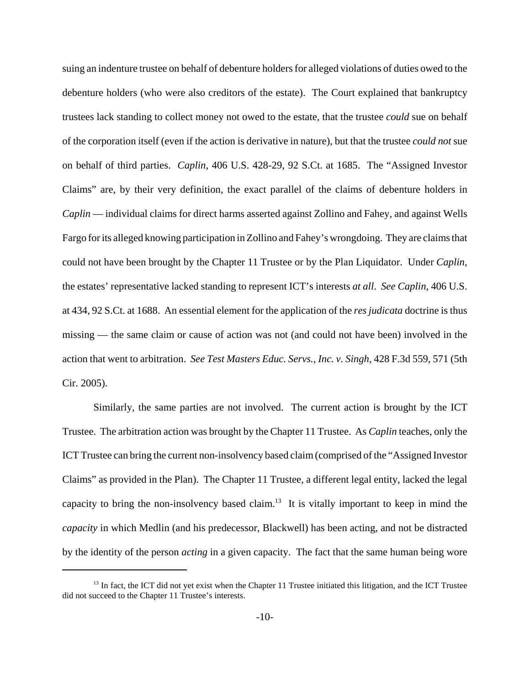suing an indenture trustee on behalf of debenture holders for alleged violations of duties owed to the debenture holders (who were also creditors of the estate). The Court explained that bankruptcy trustees lack standing to collect money not owed to the estate, that the trustee *could* sue on behalf of the corporation itself (even if the action is derivative in nature), but that the trustee *could not* sue on behalf of third parties. *Caplin*, 406 U.S. 428-29, 92 S.Ct. at 1685. The "Assigned Investor Claims" are, by their very definition, the exact parallel of the claims of debenture holders in *Caplin* — individual claims for direct harms asserted against Zollino and Fahey, and against Wells Fargo for its alleged knowing participation in Zollino and Fahey's wrongdoing. They are claims that could not have been brought by the Chapter 11 Trustee or by the Plan Liquidator. Under *Caplin*, the estates' representative lacked standing to represent ICT's interests *at all*. *See Caplin,* 406 U.S. at 434, 92 S.Ct. at 1688. An essential element for the application of the *res judicata* doctrine is thus missing — the same claim or cause of action was not (and could not have been) involved in the action that went to arbitration. *See Test Masters Educ. Servs., Inc. v. Singh,* 428 F.3d 559, 571 (5th Cir. 2005).

Similarly, the same parties are not involved. The current action is brought by the ICT Trustee. The arbitration action was brought by the Chapter 11 Trustee. As *Caplin* teaches, only the ICT Trustee can bring the current non-insolvency based claim (comprised of the "Assigned Investor Claims" as provided in the Plan). The Chapter 11 Trustee, a different legal entity, lacked the legal capacity to bring the non-insolvency based claim.<sup>13</sup> It is vitally important to keep in mind the *capacity* in which Medlin (and his predecessor, Blackwell) has been acting, and not be distracted by the identity of the person *acting* in a given capacity. The fact that the same human being wore

 $13$  In fact, the ICT did not yet exist when the Chapter 11 Trustee initiated this litigation, and the ICT Trustee did not succeed to the Chapter 11 Trustee's interests.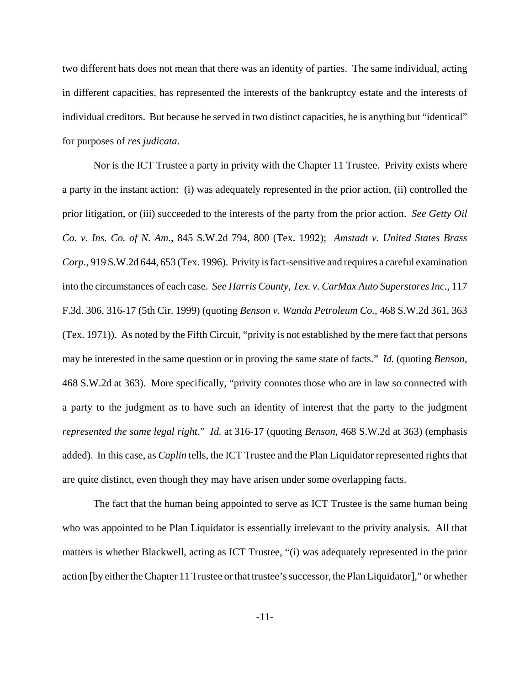two different hats does not mean that there was an identity of parties. The same individual, acting in different capacities, has represented the interests of the bankruptcy estate and the interests of individual creditors. But because he served in two distinct capacities, he is anything but "identical" for purposes of *res judicata*.

Nor is the ICT Trustee a party in privity with the Chapter 11 Trustee. Privity exists where a party in the instant action: (i) was adequately represented in the prior action, (ii) controlled the prior litigation, or (iii) succeeded to the interests of the party from the prior action. *See Getty Oil Co. v. Ins. Co. of N. Am.*, 845 S.W.2d 794, 800 (Tex. 1992); *Amstadt v. United States Brass Corp.,* 919 S.W.2d 644, 653 (Tex. 1996). Privity is fact-sensitive and requires a careful examination into the circumstances of each case. *See Harris County, Tex. v. CarMax Auto Superstores Inc.,* 117 F.3d. 306, 316-17 (5th Cir. 1999) (quoting *Benson v. Wanda Petroleum Co.,* 468 S.W.2d 361, 363 (Tex. 1971)). As noted by the Fifth Circuit, "privity is not established by the mere fact that persons may be interested in the same question or in proving the same state of facts." *Id.* (quoting *Benson,* 468 S.W.2d at 363). More specifically, "privity connotes those who are in law so connected with a party to the judgment as to have such an identity of interest that the party to the judgment *represented the same legal right*." *Id.* at 316-17 (quoting *Benson,* 468 S.W.2d at 363) (emphasis added). In this case, as *Caplin* tells, the ICT Trustee and the Plan Liquidator represented rights that are quite distinct, even though they may have arisen under some overlapping facts.

The fact that the human being appointed to serve as ICT Trustee is the same human being who was appointed to be Plan Liquidator is essentially irrelevant to the privity analysis. All that matters is whether Blackwell, acting as ICT Trustee, "(i) was adequately represented in the prior action [by either the Chapter 11 Trustee or that trustee's successor, the Plan Liquidator]," or whether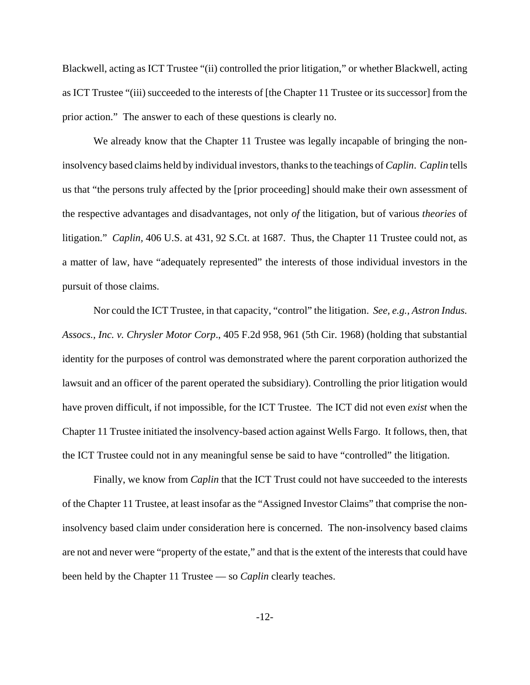Blackwell, acting as ICT Trustee "(ii) controlled the prior litigation," or whether Blackwell, acting as ICT Trustee "(iii) succeeded to the interests of [the Chapter 11 Trustee or its successor] from the prior action." The answer to each of these questions is clearly no.

We already know that the Chapter 11 Trustee was legally incapable of bringing the noninsolvency based claims held by individual investors, thanks to the teachings of *Caplin*. *Caplin* tells us that "the persons truly affected by the [prior proceeding] should make their own assessment of the respective advantages and disadvantages, not only *of* the litigation, but of various *theories* of litigation." *Caplin,* 406 U.S. at 431, 92 S.Ct. at 1687. Thus, the Chapter 11 Trustee could not, as a matter of law, have "adequately represented" the interests of those individual investors in the pursuit of those claims.

Nor could the ICT Trustee, in that capacity, "control" the litigation. *See, e.g., Astron Indus. Assocs., Inc. v. Chrysler Motor Corp*., 405 F.2d 958, 961 (5th Cir. 1968) (holding that substantial identity for the purposes of control was demonstrated where the parent corporation authorized the lawsuit and an officer of the parent operated the subsidiary). Controlling the prior litigation would have proven difficult, if not impossible, for the ICT Trustee. The ICT did not even *exist* when the Chapter 11 Trustee initiated the insolvency-based action against Wells Fargo. It follows, then, that the ICT Trustee could not in any meaningful sense be said to have "controlled" the litigation.

Finally, we know from *Caplin* that the ICT Trust could not have succeeded to the interests of the Chapter 11 Trustee, at least insofar as the "Assigned Investor Claims" that comprise the noninsolvency based claim under consideration here is concerned. The non-insolvency based claims are not and never were "property of the estate," and that is the extent of the interests that could have been held by the Chapter 11 Trustee — so *Caplin* clearly teaches.